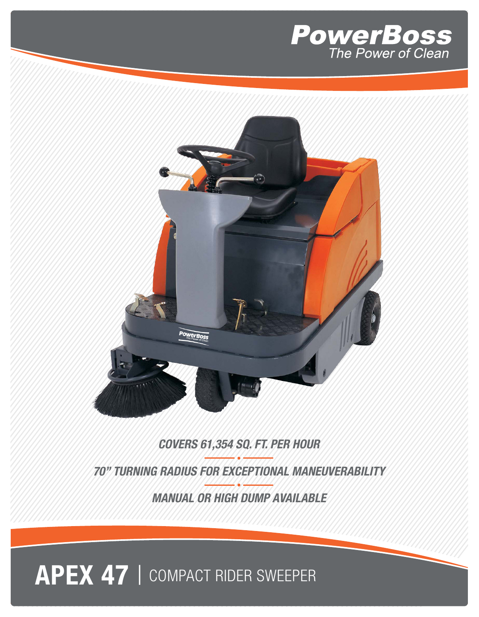



## *COVERS 61,354 SQ. FT. PER HOUR*

*70" TURNING RADIUS FOR EXCEPTIONAL MANEUVERABILITY*

*MANUAL OR HIGH DUMP AVAILABLE*